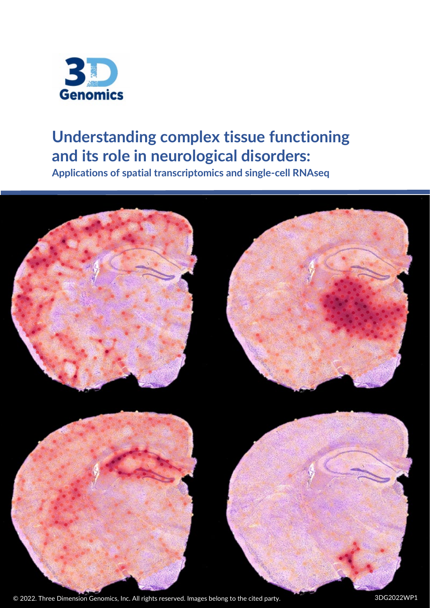

# **Understanding complex tissue functioning and its role in neurological disorders:**

**Applications of spatial transcriptomics and single-cell RNAseq**

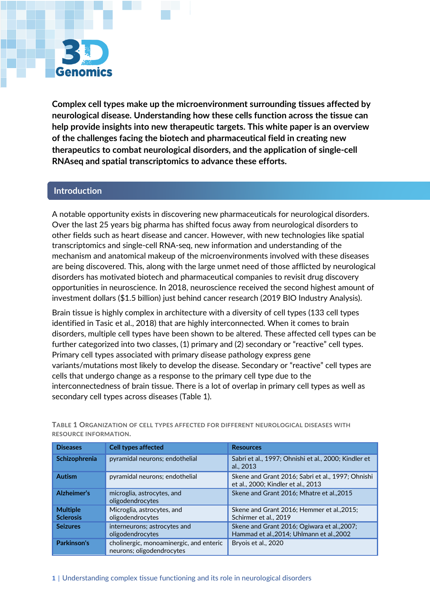

**Complex cell types make up the microenvironment surrounding tissues affected by neurological disease. Understanding how these cells function across the tissue can help provide insights into new therapeutic targets. This white paper is an overview of the challenges facing the biotech and pharmaceutical field in creating new therapeutics to combat neurological disorders, and the application of single-cell RNAseq and spatial transcriptomics to advance these efforts.** 

# **Introduction**

A notable opportunity exists in discovering new pharmaceuticals for neurological disorders. Over the last 25 years big pharma has shifted focus away from neurological disorders to other fields such as heart disease and cancer. However, with new technologies like spatial transcriptomics and single-cell RNA-seq, new information and understanding of the mechanism and anatomical makeup of the microenvironments involved with these diseases are being discovered. This, along with the large unmet need of those afflicted by neurological disorders has motivated biotech and pharmaceutical companies to revisit drug discovery opportunities in neuroscience. In 2018, neuroscience received the second highest amount of investment dollars (\$1.5 billion) just behind cancer research (2019 BIO Industry Analysis).

Brain tissue is highly complex in architecture with a diversity of cell types (133 cell types identified in Tasic et al., 2018) that are highly interconnected. When it comes to brain disorders, multiple cell types have been shown to be altered. These affected cell types can be further categorized into two classes, (1) primary and (2) secondary or "reactive" cell types. Primary cell types associated with primary disease pathology express gene variants/mutations most likely to develop the disease. Secondary or "reactive" cell types are cells that undergo change as a response to the primary cell type due to the interconnectedness of brain tissue. There is a lot of overlap in primary cell types as well as secondary cell types across diseases (Table 1).

| <b>Diseases</b>                     | <b>Cell types affected</b>                                           | <b>Resources</b>                                                                         |
|-------------------------------------|----------------------------------------------------------------------|------------------------------------------------------------------------------------------|
| Schizophrenia                       | pyramidal neurons; endothelial                                       | Sabri et al., 1997; Ohnishi et al., 2000; Kindler et<br>al., 2013                        |
| <b>Autism</b>                       | pyramidal neurons; endothelial                                       | Skene and Grant 2016; Sabri et al., 1997; Ohnishi<br>et al., 2000; Kindler et al., 2013  |
| Alzheimer's                         | microglia, astrocytes, and<br>oligodendrocytes                       | Skene and Grant 2016; Mhatre et al., 2015                                                |
| <b>Multiple</b><br><b>Sclerosis</b> | Microglia, astrocytes, and<br>oligodendrocytes                       | Skene and Grant 2016; Hemmer et al., 2015;<br>Schirmer et al., 2019                      |
| <b>Seizures</b>                     | interneurons; astrocytes and<br>oligodendrocytes                     | Skene and Grant 2016; Ogiwara et al., 2007;<br>Hammad et al., 2014; Uhlmann et al., 2002 |
| Parkinson's                         | cholinergic, monoaminergic, and enteric<br>neurons; oligodendrocytes | Brvois et al., 2020                                                                      |

**TABLE 1 ORGANIZATION OF CELL TYPES AFFECTED FOR DIFFERENT NEUROLOGICAL DISEASES WITH RESOURCE INFORMATION.**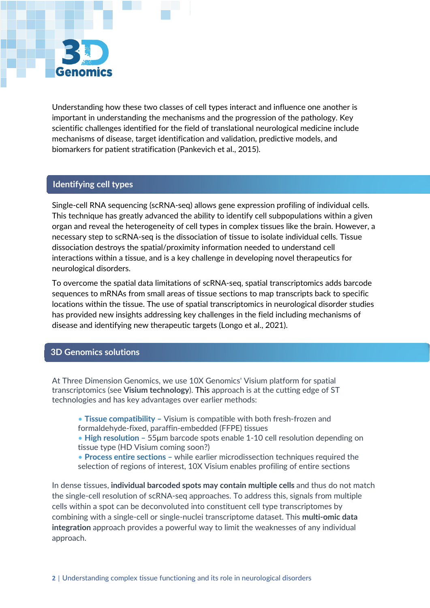

Understanding how these two classes of cell types interact and influence one another is important in understanding the mechanisms and the progression of the pathology. Key scientific challenges identified for the field of translational neurological medicine include mechanisms of disease, target identification and validation, predictive models, and biomarkers for patient stratification (Pankevich et al., 2015).

#### **Identifying cell types**

Single-cell RNA sequencing (scRNA-seq) allows gene expression profiling of individual cells. This technique has greatly advanced the ability to identify cell subpopulations within a given organ and reveal the heterogeneity of cell types in complex tissues like the brain. However, a necessary step to scRNA-seq is the dissociation of tissue to isolate individual cells. Tissue dissociation destroys the spatial/proximity information needed to understand cell interactions within a tissue, and is a key challenge in developing novel therapeutics for neurological disorders.

To overcome the spatial data limitations of scRNA-seq, spatial transcriptomics adds barcode sequences to mRNAs from small areas of tissue sections to map transcripts back to specific locations within the tissue. The use of spatial transcriptomics in neurological disorder studies has provided new insights addressing key challenges in the field including mechanisms of disease and identifying new therapeutic targets (Longo et al., 2021).

#### **3D Genomics solutions**

At Three Dimension Genomics, we use 10X Genomics' Visium platform for spatial transcriptomics (see **Visium technology**). This approach is at the cutting edge of ST technologies and has key advantages over earlier methods:

• **Tissue compatibility –** Visium is compatible with both fresh-frozen and formaldehyde-fixed, paraffin-embedded (FFPE) tissues

• **High resolution –** 55μm barcode spots enable 1-10 cell resolution depending on tissue type (HD Visium coming soon?)

• **Process entire sections –** while earlier microdissection techniques required the selection of regions of interest, 10X Visium enables profiling of entire sections

In dense tissues, **individual barcoded spots may contain multiple cells** and thus do not match the single-cell resolution of scRNA-seq approaches. To address this, signals from multiple cells within a spot can be deconvoluted into constituent cell type transcriptomes by combining with a single-cell or single-nuclei transcriptome dataset. This **multi-omic data integration** approach provides a powerful way to limit the weaknesses of any individual approach.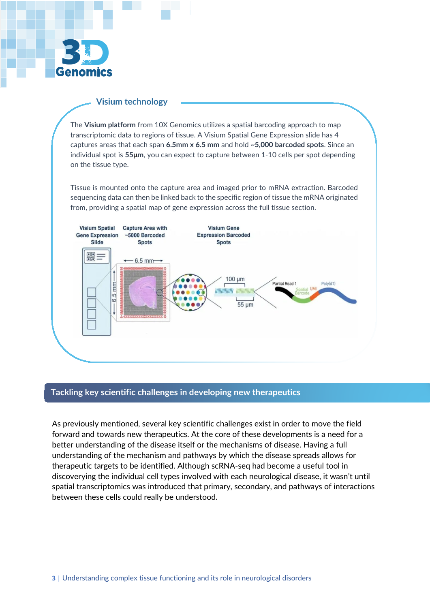

### **Visium technology**

The **Visium platform** from 10X Genomics utilizes a spatial barcoding approach to map transcriptomic data to regions of tissue. A Visium Spatial Gene Expression slide has 4 captures areas that each span **6.5mm x 6.5 mm** and hold **~5,000 barcoded spots**. Since an individual spot is **55μm**, you can expect to capture between 1-10 cells per spot depending on the tissue type.

Tissue is mounted onto the capture area and imaged prior to mRNA extraction. Barcoded sequencing data can then be linked back to the specific region of tissue the mRNA originated from, providing a spatial map of gene expression across the full tissue section.



# **Tackling key scientific challenges in developing new therapeutics**

As previously mentioned, several key scientific challenges exist in order to move the field forward and towards new therapeutics. At the core of these developments is a need for a better understanding of the disease itself or the mechanisms of disease. Having a full understanding of the mechanism and pathways by which the disease spreads allows for therapeutic targets to be identified. Although scRNA-seq had become a useful tool in discoverying the individual cell types involved with each neurological disease, it wasn't until spatial transcriptomics was introduced that primary, secondary, and pathways of interactions between these cells could really be understood.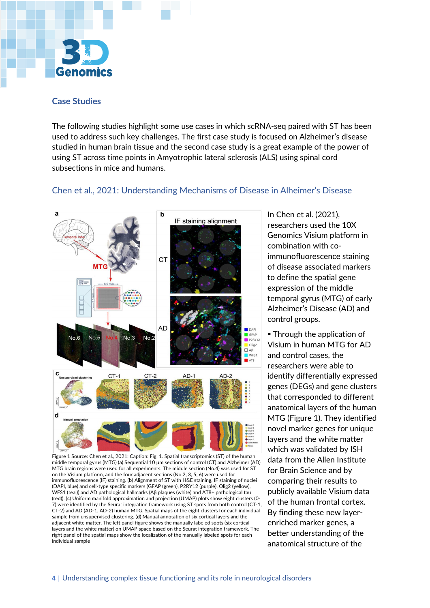

#### **Case Studies**

The following studies highlight some use cases in which scRNA-seq paired with ST has been used to address such key challenges. The first case study is focused on Alzheimer's disease studied in human brain tissue and the second case study is a great example of the power of using ST across time points in Amyotrophic lateral sclerosis (ALS) using spinal cord subsections in mice and humans.

# Chen et al., 2021: Understanding Mechanisms of Disease in Alheimer's Disease



Figure 1 Source: Chen et al., 2021: Caption: Fig. 1. Spatial transcriptomics (ST) of the human middle temporal gyrus (MTG) (**a**) Sequential 10 μm sections of control (CT) and Alzheimer (AD) MTG brain regions were used for all experiments. The middle section (No.4) was used for ST on the Visium platform, and the four adjacent sections (No.2, 3, 5, 6) were used for immunofluorescence (IF) staining. (**b**) Alignment of ST with H&E staining, IF staining of nuclei (DAPI, blue) and cell-type specific markers (GFAP (green), P2RY12 (purple), Olig2 (yellow), WFS1 (teal)) and AD pathological hallmarks (Aβ plaques (white) and AT8+ pathological tau (red)). (**c**) Uniform manifold approximation and projection (UMAP) plots show eight clusters (0- 7) were identified by the Seurat integration framework using ST spots from both control (CT-1, CT-2) and AD (AD-1, AD-2) human MTG. Spatial maps of the eight clusters for each individual sample from unsupervised clustering. (**d**) Manual annotation of six cortical layers and the adjacent white matter. The left panel figure shows the manually labeled spots (six cortical layers and the white matter) on UMAP space based on the Seurat integration framework. The right panel of the spatial maps show the localization of the manually labeled spots for each individual sample

In Chen et al. (2021), researchers used the 10X Genomics Visium platform in combination with coimmunofluorescence staining of disease associated markers to define the spatial gene expression of the middle temporal gyrus (MTG) of early Alzheimer's Disease (AD) and control groups.

**Through the application of** Visium in human MTG for AD and control cases, the researchers were able to identify differentially expressed genes (DEGs) and gene clusters that corresponded to different anatomical layers of the human MTG (Figure 1). They identified novel marker genes for unique layers and the white matter which was validated by ISH data from the Allen Institute for Brain Science and by comparing their results to publicly available Visium data of the human frontal cortex. By finding these new layerenriched marker genes, a better understanding of the anatomical structure of the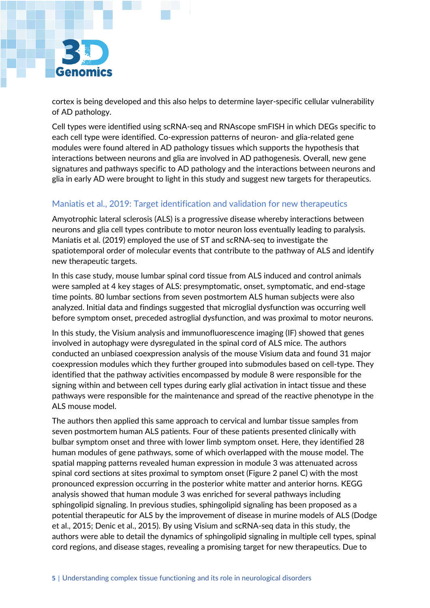

cortex is being developed and this also helps to determine layer-specific cellular vulnerability of AD pathology.

Cell types were identified using scRNA-seq and RNAscope smFISH in which DEGs specific to each cell type were identified. Co-expression patterns of neuron- and glia-related gene modules were found altered in AD pathology tissues which supports the hypothesis that interactions between neurons and glia are involved in AD pathogenesis. Overall, new gene signatures and pathways specific to AD pathology and the interactions between neurons and glia in early AD were brought to light in this study and suggest new targets for therapeutics.

# Maniatis et al., 2019: Target identification and validation for new therapeutics

Amyotrophic lateral sclerosis (ALS) is a progressive disease whereby interactions between neurons and glia cell types contribute to motor neuron loss eventually leading to paralysis. Maniatis et al. (2019) employed the use of ST and scRNA-seq to investigate the spatiotemporal order of molecular events that contribute to the pathway of ALS and identify new therapeutic targets.

In this case study, mouse lumbar spinal cord tissue from ALS induced and control animals were sampled at 4 key stages of ALS: presymptomatic, onset, symptomatic, and end-stage time points. 80 lumbar sections from seven postmortem ALS human subjects were also analyzed. Initial data and findings suggested that microglial dysfunction was occurring well before symptom onset, preceded astroglial dysfunction, and was proximal to motor neurons.

In this study, the Visium analysis and immunofluorescence imaging (IF) showed that genes involved in autophagy were dysregulated in the spinal cord of ALS mice. The authors conducted an unbiased coexpression analysis of the mouse Visium data and found 31 major coexpression modules which they further grouped into submodules based on cell-type. They identified that the pathway activities encompassed by module 8 were responsible for the signing within and between cell types during early glial activation in intact tissue and these pathways were responsible for the maintenance and spread of the reactive phenotype in the ALS mouse model.

The authors then applied this same approach to cervical and lumbar tissue samples from seven postmortem human ALS patients. Four of these patients presented clinically with bulbar symptom onset and three with lower limb symptom onset. Here, they identified 28 human modules of gene pathways, some of which overlapped with the mouse model. The spatial mapping patterns revealed human expression in module 3 was attenuated across spinal cord sections at sites proximal to symptom onset (Figure 2 panel C) with the most pronounced expression occurring in the posterior white matter and anterior horns. KEGG analysis showed that human module 3 was enriched for several pathways including sphingolipid signaling. In previous studies, sphingolipid signaling has been proposed as a potential therapeutic for ALS by the improvement of disease in murine models of ALS (Dodge et al., 2015; Denic et al., 2015). By using Visium and scRNA-seq data in this study, the authors were able to detail the dynamics of sphingolipid signaling in multiple cell types, spinal cord regions, and disease stages, revealing a promising target for new therapeutics. Due to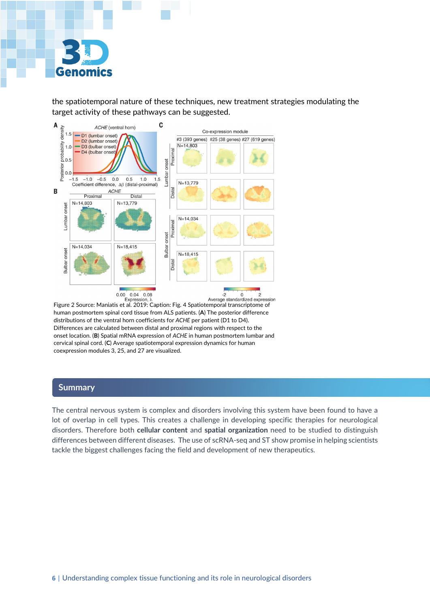

the spatiotemporal nature of these techniques, new treatment strategies modulating the target activity of these pathways can be suggested.



Figure 2 Source: Maniatis et al. 2019: Caption: Fig. 4 Spatiotemporal transcriptome of human postmortem spinal cord tissue from ALS patients. (**A**) The posterior difference distributions of the ventral horn coefficients for *ACHE* per patient (D1 to D4). Differences are calculated between distal and proximal regions with respect to the onset location. (**B**) Spatial mRNA expression of *ACHE* in human postmortem lumbar and cervical spinal cord. (**C**) Average spatiotemporal expression dynamics for human coexpression modules 3, 25, and 27 are visualized.

## **Summary**

The central nervous system is complex and disorders involving this system have been found to have a lot of overlap in cell types. This creates a challenge in developing specific therapies for neurological disorders. Therefore both **cellular content** and **spatial organization** need to be studied to distinguish differences between different diseases. The use of scRNA-seq and ST show promise in helping scientists tackle the biggest challenges facing the field and development of new therapeutics.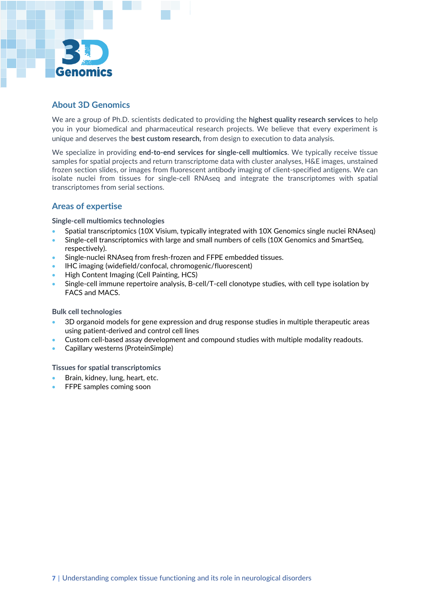

# **About 3D Genomics**

We are a group of Ph.D. scientists dedicated to providing the **highest quality research services** to help you in your biomedical and pharmaceutical research projects. We believe that every experiment is unique and deserves the **best custom research,** from design to execution to data analysis.

We specialize in providing **end-to-end services for single-cell multiomics**. We typically receive tissue samples for spatial projects and return transcriptome data with cluster analyses, H&E images, unstained frozen section slides, or images from fluorescent antibody imaging of client-specified antigens. We can isolate nuclei from tissues for single-cell RNAseq and integrate the transcriptomes with spatial transcriptomes from serial sections.

# **Areas of expertise**

**Single-cell multiomics technologies**

- Spatial transcriptomics (10X Visium, typically integrated with 10X Genomics single nuclei RNAseq)
- Single-cell transcriptomics with large and small numbers of cells (10X Genomics and SmartSeq, respectively).
- Single-nuclei RNAseq from fresh-frozen and FFPE embedded tissues.
- IHC imaging (widefield/confocal, chromogenic/fluorescent)
- High Content Imaging (Cell Painting, HCS)
- Single-cell immune repertoire analysis, B-cell/T-cell clonotype studies, with cell type isolation by FACS and MACS.

#### **Bulk cell technologies**

- 3D organoid models for gene expression and drug response studies in multiple therapeutic areas using patient-derived and control cell lines
- Custom cell-based assay development and compound studies with multiple modality readouts.
- Capillary westerns (ProteinSimple)

#### **Tissues for spatial transcriptomics**

- Brain, kidney, lung, heart, etc.
- FFPE samples coming soon